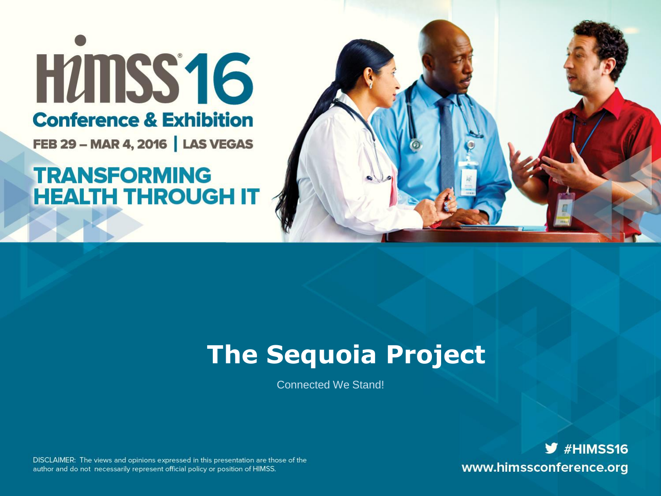HUMSS'16 **Conference & Exhibition** 

FEB 29 - MAR 4, 2016 | LAS VEGAS

**TRANSFORMING HEALTH THROUGH IT** 



### **The Sequoia Project**

Connected We Stand!

DISCLAIMER: The views and opinions expressed in this presentation are those of the author and do not necessarily represent official policy or position of HIMSS.

 $y$  #HIMSS16 www.himssconference.org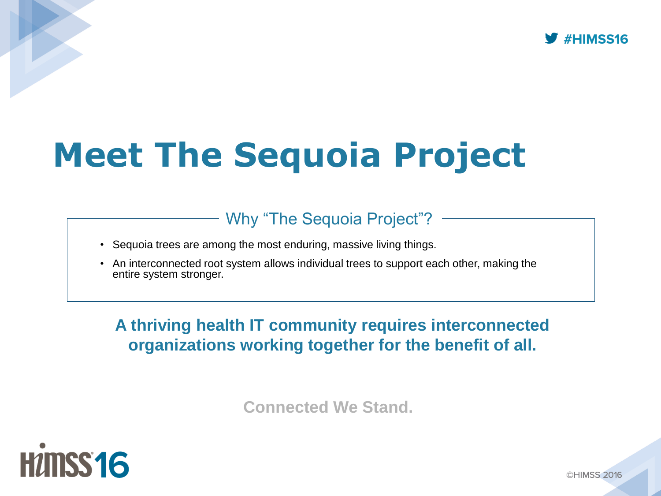

# **Meet The Sequoia Project**

### Why "The Sequoia Project"?

- Sequoia trees are among the most enduring, massive living things.
- An interconnected root system allows individual trees to support each other, making the entire system stronger.

**A thriving health IT community requires interconnected organizations working together for the benefit of all.** 

**Connected We Stand.** 

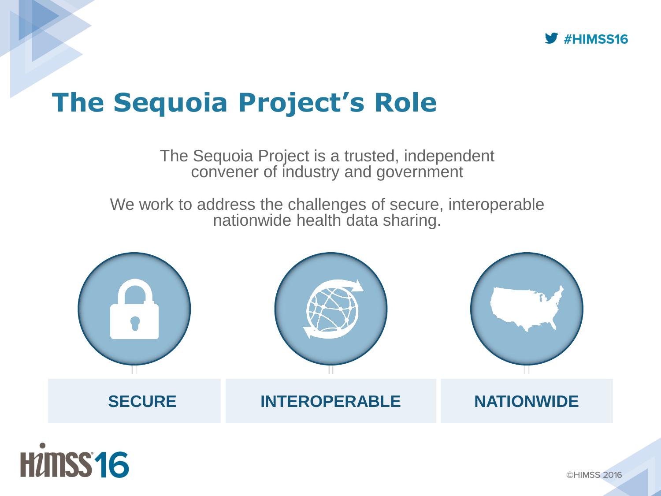

### **The Sequoia Project's Role**

The Sequoia Project is a trusted, independent convener of industry and government

We work to address the challenges of secure, interoperable nationwide health data sharing.

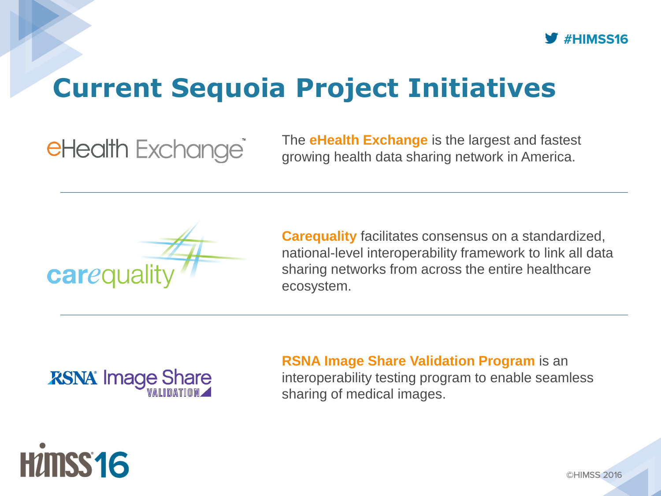

## **Current Sequoia Project Initiatives**

**eHealth Exchange** 

The **eHealth Exchange** is the largest and fastest growing health data sharing network in America.



**Carequality** facilitates consensus on a standardized, national-level interoperability framework to link all data sharing networks from across the entire healthcare ecosystem.

# **RSNA** Image Share

HUINSS<sub>16</sub>

**RSNA Image Share Validation Program** is an interoperability testing program to enable seamless sharing of medical images.

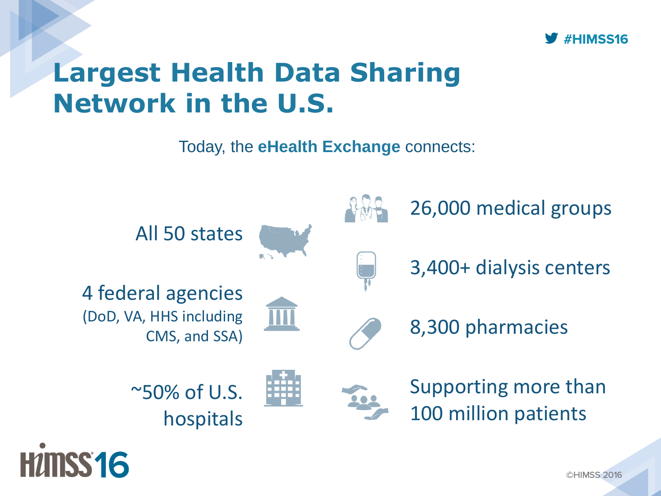

## **Largest Health Data Sharing Network in the U.S.**

Today, the **eHealth Exchange** connects:

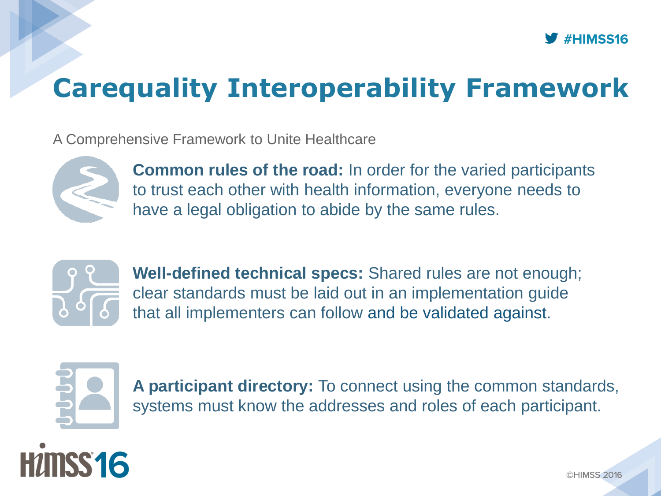

# **Carequality Interoperability Framework**

A Comprehensive Framework to Unite Healthcare



**Common rules of the road:** In order for the varied participants to trust each other with health information, everyone needs to have a legal obligation to abide by the same rules.



**Well-defined technical specs:** Shared rules are not enough; clear standards must be laid out in an implementation guide that all implementers can follow and be validated against.



**A participant directory:** To connect using the common standards, systems must know the addresses and roles of each participant.



CHIMSS 2016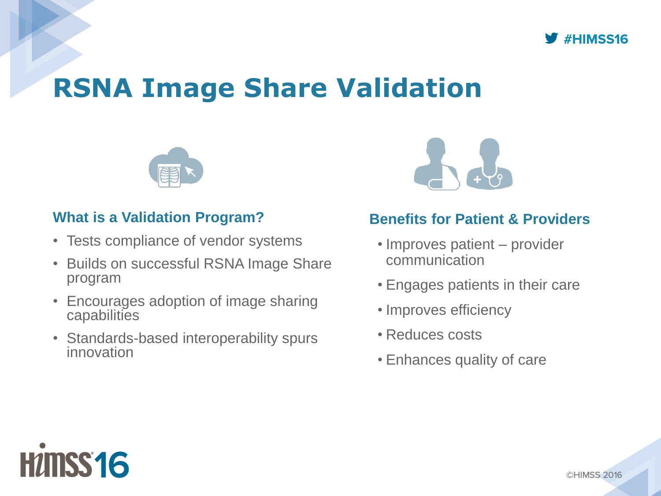

## **RSNA Image Share Validation**



#### **What is a Validation Program?**

- Tests compliance of vendor systems
- Builds on successful RSNA Image Share program
- Encourages adoption of image sharing capabilities
- Standards-based interoperability spurs innovation



### **Benefits for Patient & Providers**

- Improves patient provider communication
- Engages patients in their care
- Improves efficiency
- Reduces costs
- Enhances quality of care

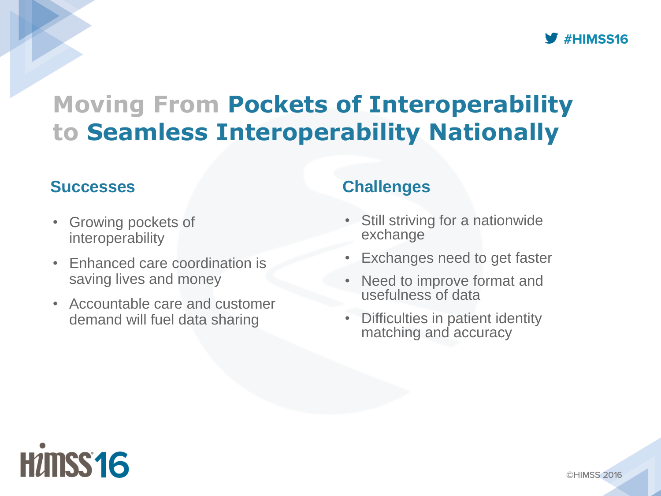

### **Moving From Pockets of Interoperability to Seamless Interoperability Nationally**

### **Successes**

- Growing pockets of interoperability
- Enhanced care coordination is saving lives and money
- Accountable care and customer demand will fuel data sharing

### **Challenges**

- Still striving for a nationwide exchange
- Exchanges need to get faster
- Need to improve format and usefulness of data
- Difficulties in patient identity matching and accuracy

# HUIISS16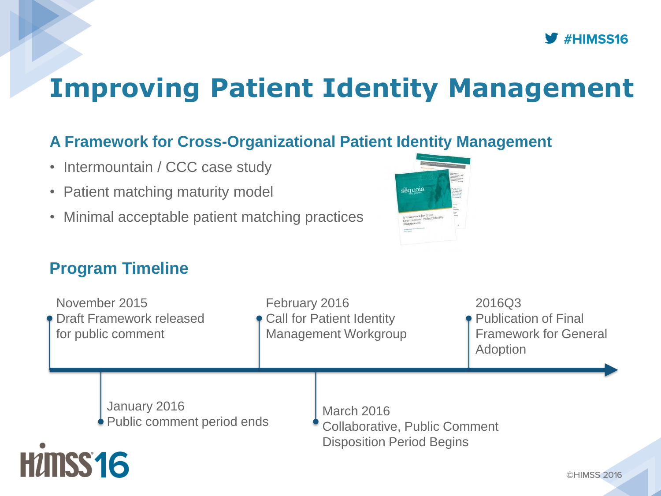

# **Improving Patient Identity Management**

sequoia

### **A Framework for Cross-Organizational Patient Identity Management**

- Intermountain / CCC case study
- Patient matching maturity model
- Minimal acceptable patient matching practices

### **Program Timeline**

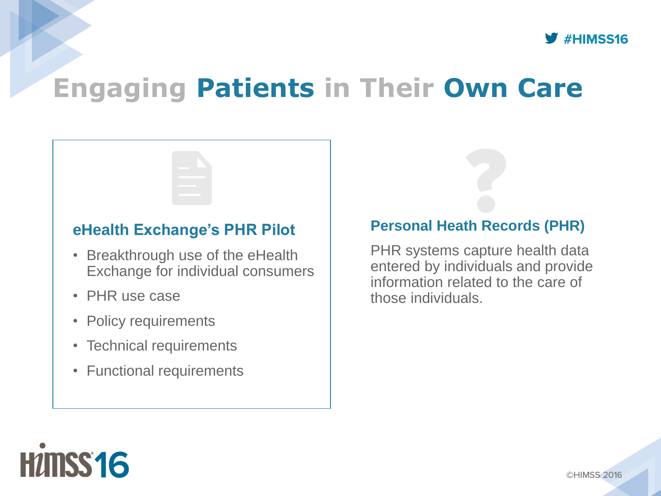

### **Engaging Patients in Their Own Care**

#### **eHealth Exchange's PHR Pilot**

- Breakthrough use of the eHealth Exchange for individual consumers
- PHR use case
- Policy requirements
- Technical requirements
- Functional requirements

#### **Personal Heath Records (PHR)**

PHR systems capture health data entered by individuals and provide information related to the care of those individuals.

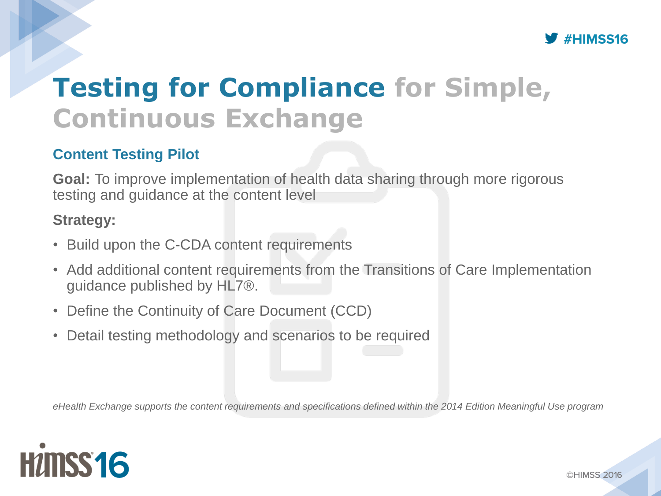

# **Testing for Compliance for Simple, Continuous Exchange**

#### **Content Testing Pilot**

**Goal:** To improve implementation of health data sharing through more rigorous testing and guidance at the content level

#### **Strategy:**

- Build upon the C-CDA content requirements
- Add additional content requirements from the Transitions of Care Implementation guidance published by HL7®.
- Define the Continuity of Care Document (CCD)
- Detail testing methodology and scenarios to be required

*eHealth Exchange supports the content requirements and specifications defined within the 2014 Edition Meaningful Use program*

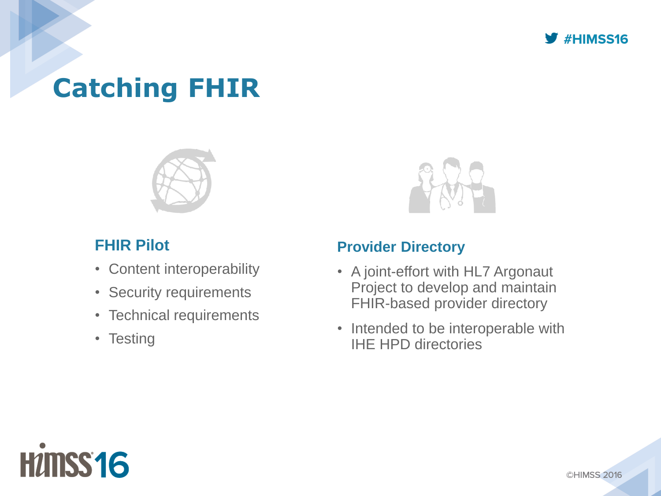

### **Catching FHIR**



### **FHIR Pilot**

- Content interoperability
- Security requirements
- Technical requirements
- Testing



#### **Provider Directory**

- A joint-effort with HL7 Argonaut Project to develop and maintain FHIR-based provider directory
- Intended to be interoperable with IHE HPD directories